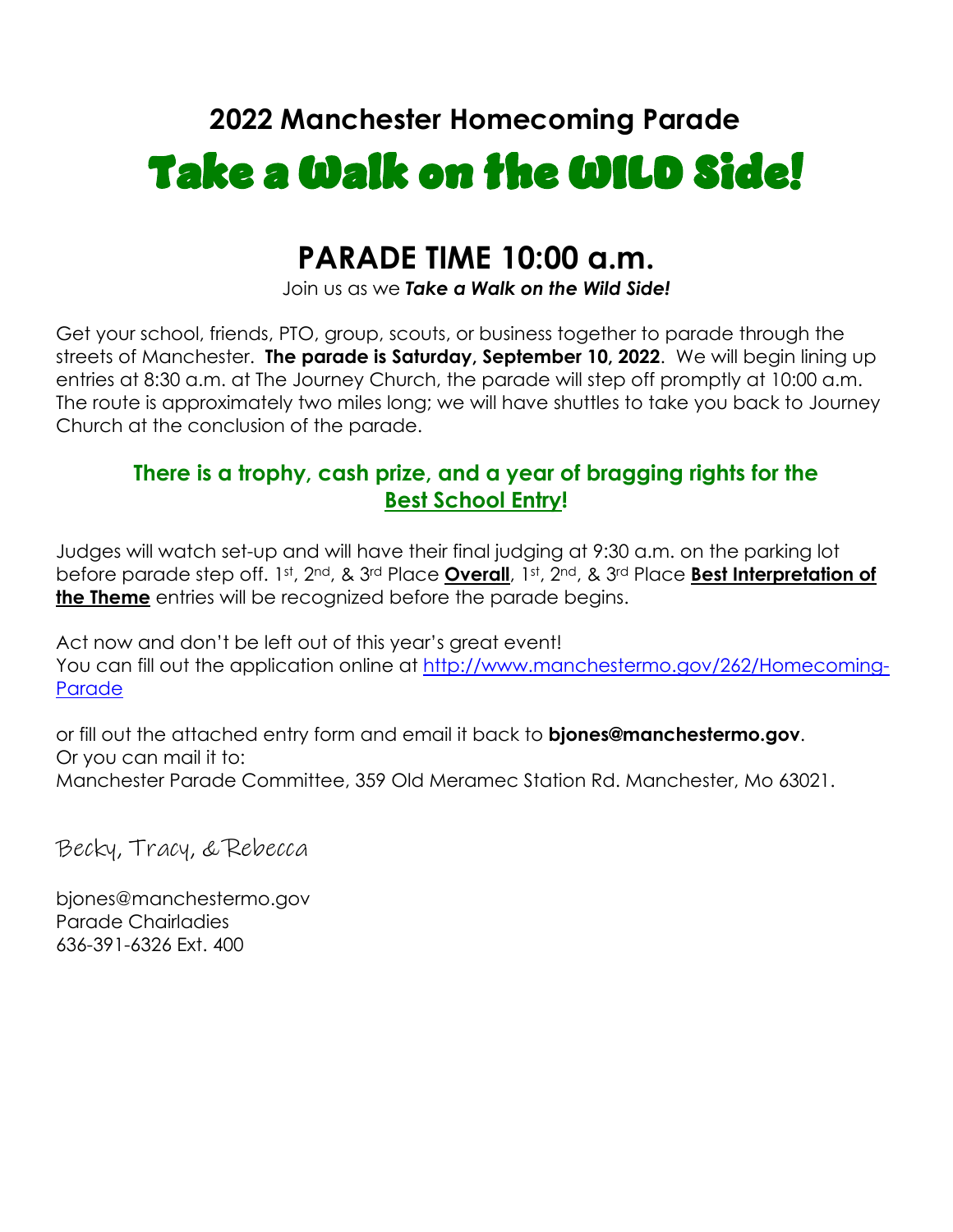## Take a Walk on the WILD Side! **2022 Manchester Homecoming Parade**

## **PARADE TIME 10:00 a.m.**

Join us as we *Take a Walk on the Wild Side!*

Get your school, friends, PTO, group, scouts, or business together to parade through the streets of Manchester. **The parade is Saturday, September 10, 2022**. We will begin lining up entries at 8:30 a.m. at The Journey Church, the parade will step off promptly at 10:00 a.m. The route is approximately two miles long; we will have shuttles to take you back to Journey Church at the conclusion of the parade.

## **There is a trophy, cash prize, and a year of bragging rights for the Best School Entry!**

Judges will watch set-up and will have their final judging at 9:30 a.m. on the parking lot before parade step off. 1st, 2nd, & 3rd Place **Overall**, 1st, 2nd, & 3rd Place **Best Interpretation of the Theme** entries will be recognized before the parade begins.

Act now and don't be left out of this year's great event! You can fill out the application online at [http://www.manchestermo.gov/262/Homecoming-](http://www.manchestermo.gov/262/Homecoming-Parade)**[Parade](http://www.manchestermo.gov/262/Homecoming-Parade)** 

or fill out the attached entry form and email it back to **bjones@manchestermo.gov**. Or you can mail it to: Manchester Parade Committee, 359 Old Meramec Station Rd. Manchester, Mo 63021.

Becky, Tracy, & Rebecca

bjones@manchestermo.gov Parade Chairladies 636-391-6326 Ext. 400